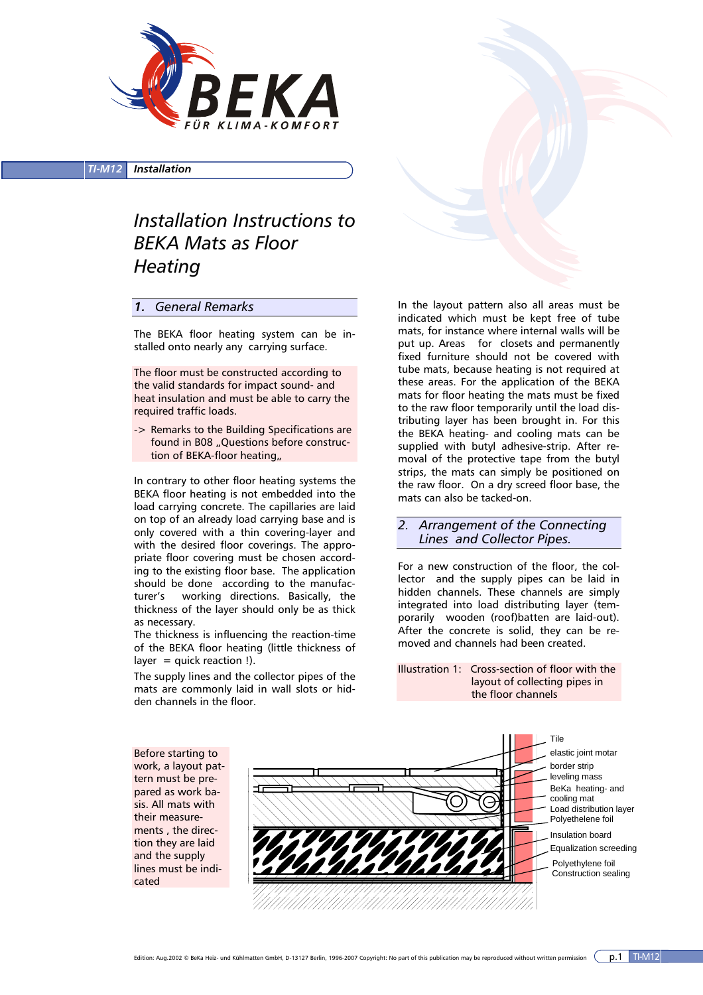

*TI-M12 Installation*

## *Installation Instructions to BEKA Mats as Floor Heating*

## *1. General Remarks*

The BEKA floor heating system can be installed onto nearly any carrying surface.

The floor must be constructed according to the valid standards for impact sound- and heat insulation and must be able to carry the required traffic loads.

-> Remarks to the Building Specifications are found in B08 "Questions before construction of BEKA-floor heating,

In contrary to other floor heating systems the BEKA floor heating is not embedded into the load carrying concrete. The capillaries are laid on top of an already load carrying base and is only covered with a thin covering-layer and with the desired floor coverings. The appropriate floor covering must be chosen according to the existing floor base. The application should be done according to the manufacturer's working directions. Basically, the thickness of the layer should only be as thick as necessary.

The thickness is influencing the reaction-time of the BEKA floor heating (little thickness of layer  $=$  quick reaction !).

The supply lines and the collector pipes of the mats are commonly laid in wall slots or hidden channels in the floor.

In the layout pattern also all areas must be indicated which must be kept free of tube mats, for instance where internal walls will be put up. Areas for closets and permanently fixed furniture should not be covered with tube mats, because heating is not required at these areas. For the application of the BEKA mats for floor heating the mats must be fixed to the raw floor temporarily until the load distributing layer has been brought in. For this the BEKA heating- and cooling mats can be supplied with butyl adhesive-strip. After removal of the protective tape from the butyl strips, the mats can simply be positioned on the raw floor. On a dry screed floor base, the mats can also be tacked-on.

*2. Arrangement of the Connecting Lines and Collector Pipes.* 

For a new construction of the floor, the collector and the supply pipes can be laid in hidden channels. These channels are simply integrated into load distributing layer (temporarily wooden (roof)batten are laid-out). After the concrete is solid, they can be removed and channels had been created.

Illustration 1: Cross-section of floor with the layout of collecting pipes in the floor channels



Edition: Aug.2002 © BeKa Heiz- und Kühlmatten GmbH, D-13127 Berlin, 1996-2007 Copyright: No part of this publication may be reproduced without written permission  $($ p.1 TI-M12